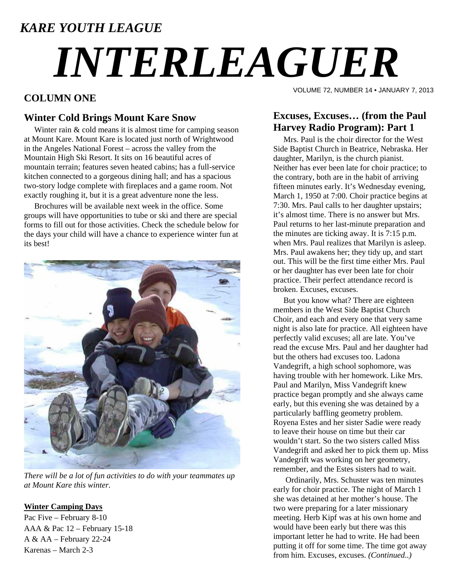### *KARE YOUTH LEAGUE*

# *INTERLEAGUER*

#### **COLUMN ONE**

#### **Winter Cold Brings Mount Kare Snow**

Winter rain & cold means it is almost time for camping season at Mount Kare. Mount Kare is located just north of Wrightwood in the Angeles National Forest – across the valley from the Mountain High Ski Resort. It sits on 16 beautiful acres of mountain terrain; features seven heated cabins; has a full-service kitchen connected to a gorgeous dining hall; and has a spacious two-story lodge complete with fireplaces and a game room. Not exactly roughing it, but it is a great adventure none the less.

 Brochures will be available next week in the office. Some groups will have opportunities to tube or ski and there are special forms to fill out for those activities. Check the schedule below for the days your child will have a chance to experience winter fun at its best!



*There will be a lot of fun activities to do with your teammates up at Mount Kare this winter.* 

#### **Winter Camping Days**

Pac Five – February 8-10 AAA & Pac 12 – February 15-18 A & AA – February 22-24 Karenas – March 2-3

VOLUME 72, NUMBER 14 • JANUARY 7, 2013

#### **Excuses, Excuses… (from the Paul Harvey Radio Program): Part 1**

 Mrs. Paul is the choir director for the West Side Baptist Church in Beatrice, Nebraska. Her daughter, Marilyn, is the church pianist. Neither has ever been late for choir practice; to the contrary, both are in the habit of arriving fifteen minutes early. It's Wednesday evening, March 1, 1950 at 7:00. Choir practice begins at 7:30. Mrs. Paul calls to her daughter upstairs; it's almost time. There is no answer but Mrs. Paul returns to her last-minute preparation and the minutes are ticking away. It is 7:15 p.m. when Mrs. Paul realizes that Marilyn is asleep. Mrs. Paul awakens her; they tidy up, and start out. This will be the first time either Mrs. Paul or her daughter has ever been late for choir practice. Their perfect attendance record is broken. Excuses, excuses.

 But you know what? There are eighteen members in the West Side Baptist Church Choir, and each and every one that very same night is also late for practice. All eighteen have perfectly valid excuses; all are late. You've read the excuse Mrs. Paul and her daughter had but the others had excuses too. Ladona Vandegrift, a high school sophomore, was having trouble with her homework. Like Mrs. Paul and Marilyn, Miss Vandegrift knew practice began promptly and she always came early, but this evening she was detained by a particularly baffling geometry problem. Royena Estes and her sister Sadie were ready to leave their house on time but their car wouldn't start. So the two sisters called Miss Vandegrift and asked her to pick them up. Miss Vandegrift was working on her geometry, remember, and the Estes sisters had to wait.

 Ordinarily, Mrs. Schuster was ten minutes early for choir practice. The night of March 1 she was detained at her mother's house. The two were preparing for a later missionary meeting. Herb Kipf was at his own home and would have been early but there was this important letter he had to write. He had been putting it off for some time. The time got away from him. Excuses, excuses. *(Continued..)*